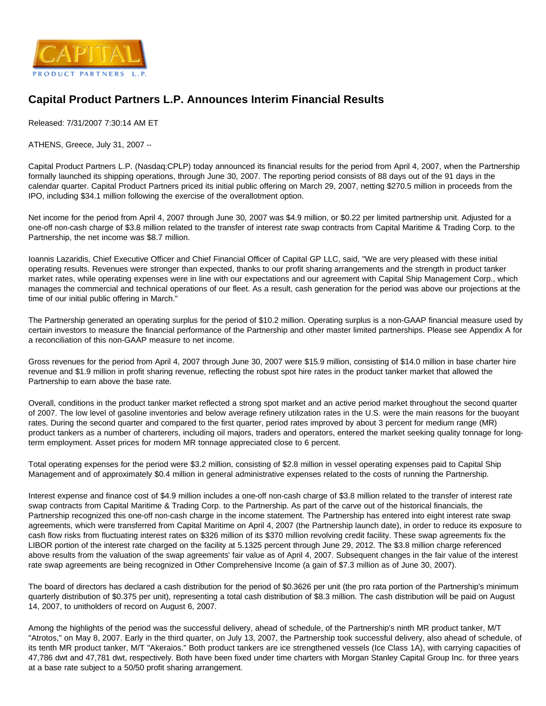

## **Capital Product Partners L.P. Announces Interim Financial Results**

Released: 7/31/2007 7:30:14 AM ET

ATHENS, Greece, July 31, 2007 --

Capital Product Partners L.P. (Nasdaq:CPLP) today announced its financial results for the period from April 4, 2007, when the Partnership formally launched its shipping operations, through June 30, 2007. The reporting period consists of 88 days out of the 91 days in the calendar quarter. Capital Product Partners priced its initial public offering on March 29, 2007, netting \$270.5 million in proceeds from the IPO, including \$34.1 million following the exercise of the overallotment option.

Net income for the period from April 4, 2007 through June 30, 2007 was \$4.9 million, or \$0.22 per limited partnership unit. Adjusted for a one-off non-cash charge of \$3.8 million related to the transfer of interest rate swap contracts from Capital Maritime & Trading Corp. to the Partnership, the net income was \$8.7 million.

Ioannis Lazaridis, Chief Executive Officer and Chief Financial Officer of Capital GP LLC, said, "We are very pleased with these initial operating results. Revenues were stronger than expected, thanks to our profit sharing arrangements and the strength in product tanker market rates, while operating expenses were in line with our expectations and our agreement with Capital Ship Management Corp., which manages the commercial and technical operations of our fleet. As a result, cash generation for the period was above our projections at the time of our initial public offering in March."

The Partnership generated an operating surplus for the period of \$10.2 million. Operating surplus is a non-GAAP financial measure used by certain investors to measure the financial performance of the Partnership and other master limited partnerships. Please see Appendix A for a reconciliation of this non-GAAP measure to net income.

Gross revenues for the period from April 4, 2007 through June 30, 2007 were \$15.9 million, consisting of \$14.0 million in base charter hire revenue and \$1.9 million in profit sharing revenue, reflecting the robust spot hire rates in the product tanker market that allowed the Partnership to earn above the base rate.

Overall, conditions in the product tanker market reflected a strong spot market and an active period market throughout the second quarter of 2007. The low level of gasoline inventories and below average refinery utilization rates in the U.S. were the main reasons for the buoyant rates. During the second quarter and compared to the first quarter, period rates improved by about 3 percent for medium range (MR) product tankers as a number of charterers, including oil majors, traders and operators, entered the market seeking quality tonnage for longterm employment. Asset prices for modern MR tonnage appreciated close to 6 percent.

Total operating expenses for the period were \$3.2 million, consisting of \$2.8 million in vessel operating expenses paid to Capital Ship Management and of approximately \$0.4 million in general administrative expenses related to the costs of running the Partnership.

Interest expense and finance cost of \$4.9 million includes a one-off non-cash charge of \$3.8 million related to the transfer of interest rate swap contracts from Capital Maritime & Trading Corp. to the Partnership. As part of the carve out of the historical financials, the Partnership recognized this one-off non-cash charge in the income statement. The Partnership has entered into eight interest rate swap agreements, which were transferred from Capital Maritime on April 4, 2007 (the Partnership launch date), in order to reduce its exposure to cash flow risks from fluctuating interest rates on \$326 million of its \$370 million revolving credit facility. These swap agreements fix the LIBOR portion of the interest rate charged on the facility at 5.1325 percent through June 29, 2012. The \$3.8 million charge referenced above results from the valuation of the swap agreements' fair value as of April 4, 2007. Subsequent changes in the fair value of the interest rate swap agreements are being recognized in Other Comprehensive Income (a gain of \$7.3 million as of June 30, 2007).

The board of directors has declared a cash distribution for the period of \$0.3626 per unit (the pro rata portion of the Partnership's minimum quarterly distribution of \$0.375 per unit), representing a total cash distribution of \$8.3 million. The cash distribution will be paid on August 14, 2007, to unitholders of record on August 6, 2007.

Among the highlights of the period was the successful delivery, ahead of schedule, of the Partnership's ninth MR product tanker, M/T "Atrotos," on May 8, 2007. Early in the third quarter, on July 13, 2007, the Partnership took successful delivery, also ahead of schedule, of its tenth MR product tanker, M/T "Akeraios." Both product tankers are ice strengthened vessels (Ice Class 1A), with carrying capacities of 47,786 dwt and 47,781 dwt, respectively. Both have been fixed under time charters with Morgan Stanley Capital Group Inc. for three years at a base rate subject to a 50/50 profit sharing arrangement.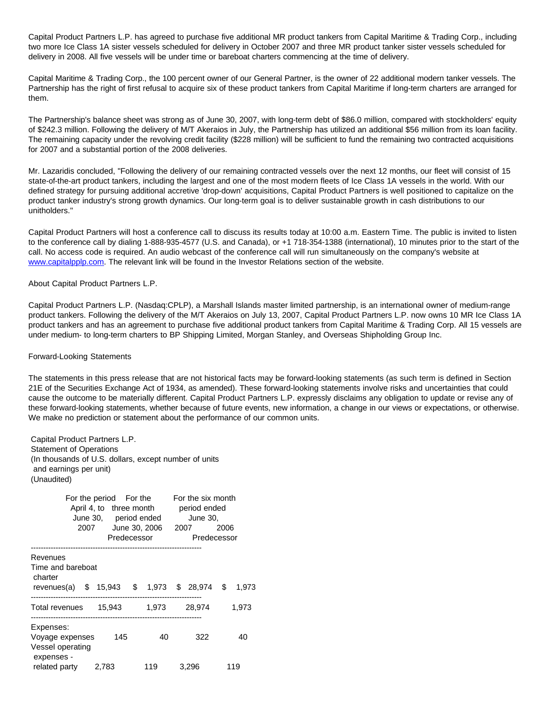Capital Product Partners L.P. has agreed to purchase five additional MR product tankers from Capital Maritime & Trading Corp., including two more Ice Class 1A sister vessels scheduled for delivery in October 2007 and three MR product tanker sister vessels scheduled for delivery in 2008. All five vessels will be under time or bareboat charters commencing at the time of delivery.

Capital Maritime & Trading Corp., the 100 percent owner of our General Partner, is the owner of 22 additional modern tanker vessels. The Partnership has the right of first refusal to acquire six of these product tankers from Capital Maritime if long-term charters are arranged for them.

The Partnership's balance sheet was strong as of June 30, 2007, with long-term debt of \$86.0 million, compared with stockholders' equity of \$242.3 million. Following the delivery of M/T Akeraios in July, the Partnership has utilized an additional \$56 million from its loan facility. The remaining capacity under the revolving credit facility (\$228 million) will be sufficient to fund the remaining two contracted acquisitions for 2007 and a substantial portion of the 2008 deliveries.

Mr. Lazaridis concluded, "Following the delivery of our remaining contracted vessels over the next 12 months, our fleet will consist of 15 state-of-the-art product tankers, including the largest and one of the most modern fleets of Ice Class 1A vessels in the world. With our defined strategy for pursuing additional accretive 'drop-down' acquisitions, Capital Product Partners is well positioned to capitalize on the product tanker industry's strong growth dynamics. Our long-term goal is to deliver sustainable growth in cash distributions to our unitholders."

Capital Product Partners will host a conference call to discuss its results today at 10:00 a.m. Eastern Time. The public is invited to listen to the conference call by dialing 1-888-935-4577 (U.S. and Canada), or +1 718-354-1388 (international), 10 minutes prior to the start of the call. No access code is required. An audio webcast of the conference call will run simultaneously on the company's website at [www.capitalpplp.com.](http://www.capitalpplp.com/) The relevant link will be found in the Investor Relations section of the website.

## About Capital Product Partners L.P.

Capital Product Partners L.P. (Nasdaq:CPLP), a Marshall Islands master limited partnership, is an international owner of medium-range product tankers. Following the delivery of the M/T Akeraios on July 13, 2007, Capital Product Partners L.P. now owns 10 MR Ice Class 1A product tankers and has an agreement to purchase five additional product tankers from Capital Maritime & Trading Corp. All 15 vessels are under medium- to long-term charters to BP Shipping Limited, Morgan Stanley, and Overseas Shipholding Group Inc.

## Forward-Looking Statements

The statements in this press release that are not historical facts may be forward-looking statements (as such term is defined in Section 21E of the Securities Exchange Act of 1934, as amended). These forward-looking statements involve risks and uncertainties that could cause the outcome to be materially different. Capital Product Partners L.P. expressly disclaims any obligation to update or revise any of these forward-looking statements, whether because of future events, new information, a change in our views or expectations, or otherwise. We make no prediction or statement about the performance of our common units.

 Capital Product Partners L.P. Statement of Operations (In thousands of U.S. dollars, except number of units and earnings per unit) (Unaudited)

| 2007                                                           | For the period For the<br>April 4, to three month<br>June 30, period ended<br>Predecessor | June 30, 2006 | For the six month<br>period ended<br>June 30.<br>2007 | 2006<br>Predecessor |
|----------------------------------------------------------------|-------------------------------------------------------------------------------------------|---------------|-------------------------------------------------------|---------------------|
| Revenues<br>Time and bareboat<br>charter<br>revenues(a)        |                                                                                           |               | \$ 15,943 \$ 1,973 \$ 28,974                          | \$<br>1,973         |
| Total revenues                                                 | 15.943                                                                                    | 1,973         | 28.974                                                | 1,973               |
| Expenses:<br>Voyage expenses<br>Vessel operating<br>expenses - | 145                                                                                       | 40            | 322                                                   | 40                  |
| related party                                                  | 2,783                                                                                     | 119           | 3,296                                                 | 119                 |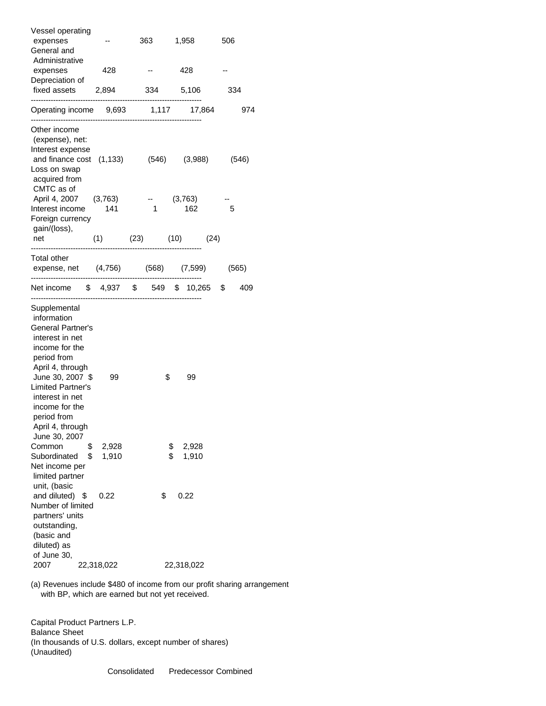| Vessel operating<br>expenses<br>General and            |                     | 363            | 1,958       |      | 506 |       |
|--------------------------------------------------------|---------------------|----------------|-------------|------|-----|-------|
| Administrative<br>expenses<br>Depreciation of          | 428                 |                | 428         |      |     |       |
| fixed assets 2,894<br>---------------------------      |                     |                | 334 5,106   |      | 334 |       |
| Operating income 9,693 1,117 17,864                    |                     |                |             |      |     | 974   |
| Other income<br>(expense), net:                        |                     |                |             |      |     |       |
| Interest expense                                       |                     |                |             |      |     |       |
| and finance cost (1,133) (546) (3,988)<br>Loss on swap |                     |                |             |      |     | (546) |
| acquired from<br>CMTC as of                            |                     |                |             |      |     |       |
| April 4, 2007 (3,763)                                  |                     |                | (3,763)     |      |     |       |
| Interest income                                        | 141                 | $\overline{1}$ | 162         |      | 5   |       |
| Foreign currency<br>gain/(loss),                       |                     |                |             |      |     |       |
| net                                                    | $(1)$ $(23)$ $(10)$ |                |             | (24) |     |       |
| Total other                                            |                     |                |             |      |     |       |
| expense, net (4,756) (568) (7,599)                     |                     |                |             |      |     | (565) |
| Net income \$4,937 \$549 \$10,265 \$                   |                     |                |             |      |     | 409   |
| Supplemental                                           |                     |                |             |      |     |       |
| information                                            |                     |                |             |      |     |       |
| <b>General Partner's</b><br>interest in net            |                     |                |             |      |     |       |
| income for the                                         |                     |                |             |      |     |       |
| period from                                            |                     |                |             |      |     |       |
| April 4, through                                       |                     |                |             |      |     |       |
| June 30, 2007 \$                                       | 99                  | \$             | 99          |      |     |       |
| Limited Partner's                                      |                     |                |             |      |     |       |
| interest in net                                        |                     |                |             |      |     |       |
| income for the                                         |                     |                |             |      |     |       |
| period from<br>April 4, through                        |                     |                |             |      |     |       |
| June 30, 2007                                          |                     |                |             |      |     |       |
| Common<br>\$                                           | 2,928               |                | 2,928<br>\$ |      |     |       |
| Subordinated<br>\$                                     | 1,910               |                | \$<br>1,910 |      |     |       |
| Net income per                                         |                     |                |             |      |     |       |
| limited partner                                        |                     |                |             |      |     |       |
| unit, (basic                                           |                     |                |             |      |     |       |
| and diluted)<br>\$                                     | 0.22                | \$             | 0.22        |      |     |       |
| Number of limited                                      |                     |                |             |      |     |       |
| partners' units<br>outstanding,                        |                     |                |             |      |     |       |
| (basic and                                             |                     |                |             |      |     |       |
| diluted) as                                            |                     |                |             |      |     |       |
| of June 30,                                            |                     |                |             |      |     |       |
| 2007                                                   | 22,318,022          |                | 22,318,022  |      |     |       |

 (a) Revenues include \$480 of income from our profit sharing arrangement with BP, which are earned but not yet received.

 Capital Product Partners L.P. Balance Sheet (In thousands of U.S. dollars, except number of shares) (Unaudited)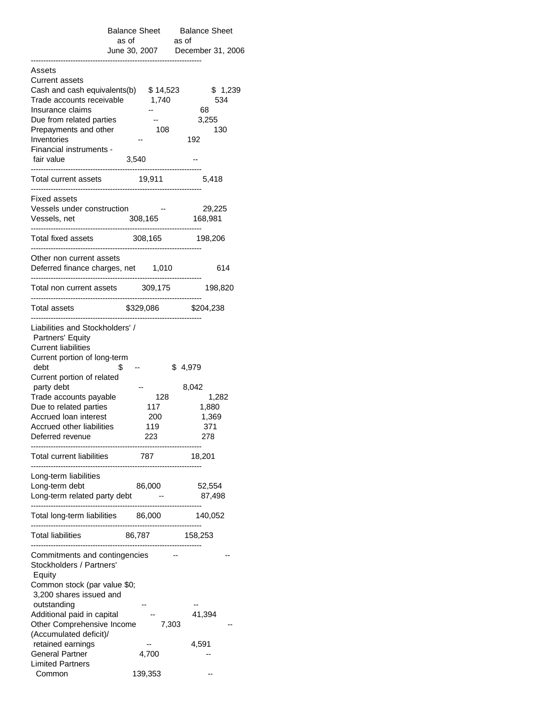|                                                                                                                                                         | <b>Balance Sheet</b><br>as of | <b>Balance Sheet</b><br>as of    |  |
|---------------------------------------------------------------------------------------------------------------------------------------------------------|-------------------------------|----------------------------------|--|
|                                                                                                                                                         |                               | June 30, 2007  December 31, 2006 |  |
| Assets<br><b>Current assets</b><br>Cash and cash equivalents(b) $$14,523$                                                                               |                               |                                  |  |
| Trade accounts receivable<br>Insurance claims                                                                                                           | 1,740                         | \$1,239<br>534<br>68             |  |
| Due from related parties<br>Prepayments and other                                                                                                       | 108                           | 3,255<br>130                     |  |
| Inventories                                                                                                                                             |                               | 192                              |  |
| Financial instruments -<br>fair value<br>                                                                                                               | 3,540                         |                                  |  |
| Total current assets                                                                                                                                    | 19,911                        | 5,418                            |  |
| Fixed assets<br>Vessels under construction<br>Vessels, net                                                                                              | 308,165                       | 29,225<br>168,981                |  |
| Total fixed assets                                                                                                                                      | 308,165 198,206               |                                  |  |
| Other non current assets<br>Deferred finance charges, net 1,010                                                                                         |                               | 614                              |  |
| Total non current assets 309,175                                                                                                                        |                               | 198,820                          |  |
| Total assets                                                                                                                                            |                               | \$329,086 \$204,238              |  |
| Liabilities and Stockholders' /<br>Partners' Equity<br><b>Current liabilities</b><br>Current portion of long-term<br>debt<br>Current portion of related | S                             | \$4,979                          |  |
| party debt                                                                                                                                              |                               | 8,042                            |  |
| Trade accounts payable<br>Due to related parties                                                                                                        | 128<br>117                    | 1,282<br>1,880                   |  |
| <b>Accrued loan interest</b>                                                                                                                            | 200                           | 1,369                            |  |
| Accrued other liabilities<br>Deferred revenue                                                                                                           | 119<br>223                    | 371<br>278                       |  |
| <b>Total current liabilities</b><br>------------------------                                                                                            | 787                           | 18,201                           |  |
| Long-term liabilities<br>Long-term debt                                                                                                                 | 86,000                        | 52,554                           |  |
| Long-term related party debt -                                                                                                                          |                               | 87,498                           |  |
| Total long-term liabilities 86,000 140,052                                                                                                              | ----------------------------  |                                  |  |
| Total liabilities 86,787 158,253                                                                                                                        |                               |                                  |  |
| Commitments and contingencies<br>Stockholders / Partners'<br>Equity                                                                                     |                               |                                  |  |
| Common stock (par value \$0;<br>3,200 shares issued and                                                                                                 |                               |                                  |  |
| outstanding<br>Additional paid in capital                                                                                                               |                               | 41,394                           |  |
| Other Comprehensive Income<br>(Accumulated deficit)/                                                                                                    |                               | 7,303                            |  |
| retained earnings<br><b>General Partner</b>                                                                                                             | 4,700                         | 4,591                            |  |
| <b>Limited Partners</b><br>Common                                                                                                                       | 139,353                       |                                  |  |
|                                                                                                                                                         |                               |                                  |  |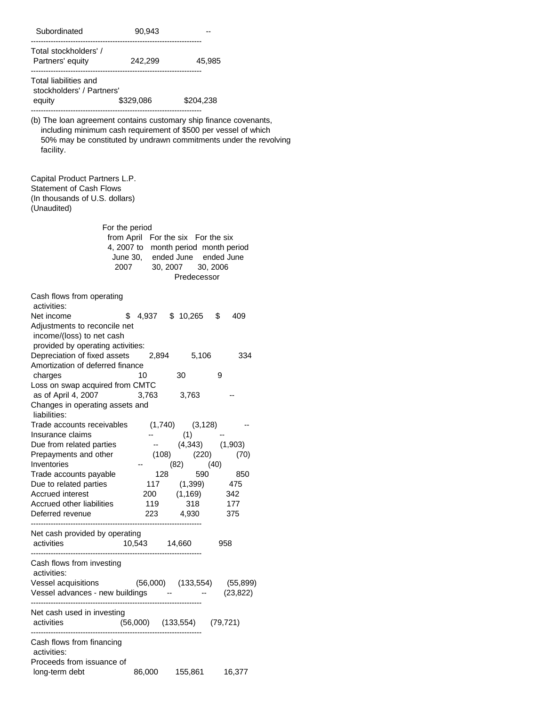| Subordinated                                                                                                                                                                                                                                                | 90,943                                                                                                                                                   |                                                                                                                                                        |                                        |
|-------------------------------------------------------------------------------------------------------------------------------------------------------------------------------------------------------------------------------------------------------------|----------------------------------------------------------------------------------------------------------------------------------------------------------|--------------------------------------------------------------------------------------------------------------------------------------------------------|----------------------------------------|
| Total stockholders' /<br>Partners' equity 242,299 45,985                                                                                                                                                                                                    |                                                                                                                                                          |                                                                                                                                                        |                                        |
| Total liabilities and<br>stockholders' / Partners'                                                                                                                                                                                                          |                                                                                                                                                          |                                                                                                                                                        |                                        |
| equity                                                                                                                                                                                                                                                      | \$329,086 \$204,238                                                                                                                                      |                                                                                                                                                        |                                        |
| (b) The loan agreement contains customary ship finance covenants,<br>including minimum cash requirement of \$500 per vessel of which<br>50% may be constituted by undrawn commitments under the revolving<br>facility.                                      |                                                                                                                                                          |                                                                                                                                                        |                                        |
| Capital Product Partners L.P.<br><b>Statement of Cash Flows</b><br>(In thousands of U.S. dollars)<br>(Unaudited)                                                                                                                                            |                                                                                                                                                          |                                                                                                                                                        |                                        |
|                                                                                                                                                                                                                                                             | For the period<br>from April For the six For the six<br>4, 2007 to month period month period<br>June 30, ended June ended June<br>2007 30, 2007 30, 2006 | Predecessor                                                                                                                                            |                                        |
| Cash flows from operating                                                                                                                                                                                                                                   |                                                                                                                                                          |                                                                                                                                                        |                                        |
| activities:<br>Net income<br>Adjustments to reconcile net<br>income/(loss) to net cash<br>provided by operating activities:<br>Depreciation of fixed assets<br>Amortization of deferred finance<br>charges<br>Loss on swap acquired from CMTC               | S<br>2,894<br>10                                                                                                                                         | 4,937 \$ 10,265 \$<br>5,106<br>30                                                                                                                      | 409<br>334<br>9                        |
| as of April 4, 2007<br>Changes in operating assets and<br>liabilities:                                                                                                                                                                                      | 3,763                                                                                                                                                    | 3,763                                                                                                                                                  |                                        |
| Trade accounts receivables (1,740) (3,128)<br>Insurance claims<br>Due from related parties<br>Prepayments and other<br>Inventories<br>Trade accounts payable<br>Due to related parties<br>Accrued interest<br>Accrued other liabilities<br>Deferred revenue | 119                                                                                                                                                      | (1)<br>$-$ (4,343) (1,903)<br>$(108)$ $(220)$<br>$(82)$ $(40)$<br>128<br>117 $(1,399)$ 475<br>200          (1,169)<br>119             318<br>223 4,930 | (70)<br>590 850<br>342<br>$177$<br>375 |
| Net cash provided by operating<br>activities                                                                                                                                                                                                                | 10,543  14,660                                                                                                                                           |                                                                                                                                                        | 958                                    |
| Cash flows from investing<br>activities:<br>Vessel acquisitions (56,000) (133,554) (55,899)<br>Vessel advances - new buildings -                                                                                                                            |                                                                                                                                                          | $-$ (23,822)                                                                                                                                           |                                        |
| Net cash used in investing<br>activities                                                                                                                                                                                                                    | $(56,000)$ $(133,554)$ $(79,721)$                                                                                                                        |                                                                                                                                                        |                                        |
| Cash flows from financing<br>activities:                                                                                                                                                                                                                    |                                                                                                                                                          |                                                                                                                                                        |                                        |
| Proceeds from issuance of<br>long-term debt                                                                                                                                                                                                                 |                                                                                                                                                          | 86,000  155,861  16,377                                                                                                                                |                                        |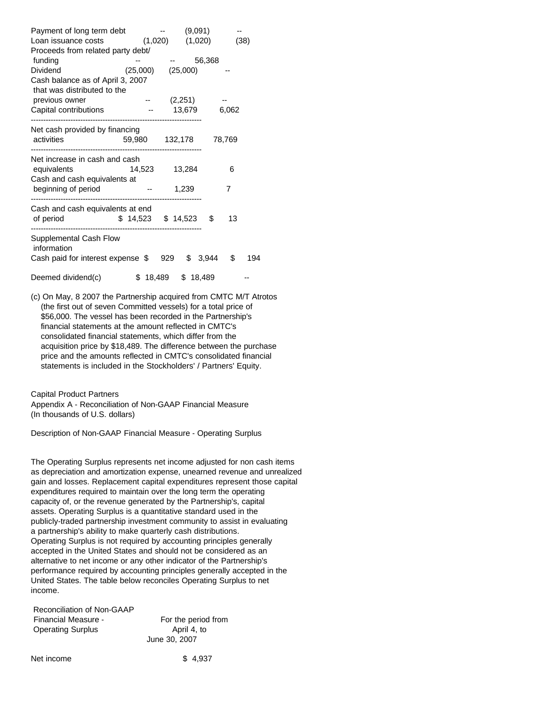| Payment of long term debt         |                       | (9,091)     |             |      |
|-----------------------------------|-----------------------|-------------|-------------|------|
| Loan issuance costs               | (1,020)               | (1,020)     |             | (38) |
| Proceeds from related party debt/ |                       |             |             |      |
| funding                           |                       |             | 56,368      |      |
| <b>Dividend</b>                   | (25,000)              | (25,000)    |             |      |
| Cash balance as of April 3, 2007  |                       |             |             |      |
| that was distributed to the       |                       |             |             |      |
| previous owner                    |                       | (2,251)     |             |      |
| Capital contributions             |                       | 13,679      | 6,062       |      |
|                                   |                       |             |             |      |
| Net cash provided by financing    |                       |             |             |      |
| activities                        | 59,980 132,178 78,769 |             |             |      |
|                                   |                       |             |             |      |
| Net increase in cash and cash     |                       |             |             |      |
| equivalents                       | 14,523                | 13,284      | 6           |      |
| Cash and cash equivalents at      |                       |             |             |      |
| beginning of period               |                       | 1,239       | 7           |      |
|                                   |                       |             |             |      |
| Cash and cash equivalents at end  |                       |             |             |      |
| of period                         | \$14,523              | \$14,523    | \$<br>13    |      |
| Supplemental Cash Flow            |                       |             |             |      |
| information                       |                       |             |             |      |
| Cash paid for interest expense \$ |                       | \$<br>929   | \$<br>3,944 | 194  |
|                                   |                       |             |             |      |
| Deemed dividend(c)                | \$<br>18,489          | S<br>18,489 |             |      |
|                                   |                       |             |             |      |

 (c) On May, 8 2007 the Partnership acquired from CMTC M/T Atrotos (the first out of seven Committed vessels) for a total price of \$56,000. The vessel has been recorded in the Partnership's financial statements at the amount reflected in CMTC's consolidated financial statements, which differ from the acquisition price by \$18,489. The difference between the purchase price and the amounts reflected in CMTC's consolidated financial statements is included in the Stockholders' / Partners' Equity.

Capital Product Partners

 Appendix A - Reconciliation of Non-GAAP Financial Measure (In thousands of U.S. dollars)

Description of Non-GAAP Financial Measure - Operating Surplus

 The Operating Surplus represents net income adjusted for non cash items as depreciation and amortization expense, unearned revenue and unrealized gain and losses. Replacement capital expenditures represent those capital expenditures required to maintain over the long term the operating capacity of, or the revenue generated by the Partnership's, capital assets. Operating Surplus is a quantitative standard used in the publicly-traded partnership investment community to assist in evaluating a partnership's ability to make quarterly cash distributions. Operating Surplus is not required by accounting principles generally accepted in the United States and should not be considered as an alternative to net income or any other indicator of the Partnership's performance required by accounting principles generally accepted in the United States. The table below reconciles Operating Surplus to net income.

| Reconciliation of Non-GAAP |                     |
|----------------------------|---------------------|
| Financial Measure -        | For the period from |
| <b>Operating Surplus</b>   | April 4, to         |
|                            | June 30, 2007       |

Net income \$ 4,937